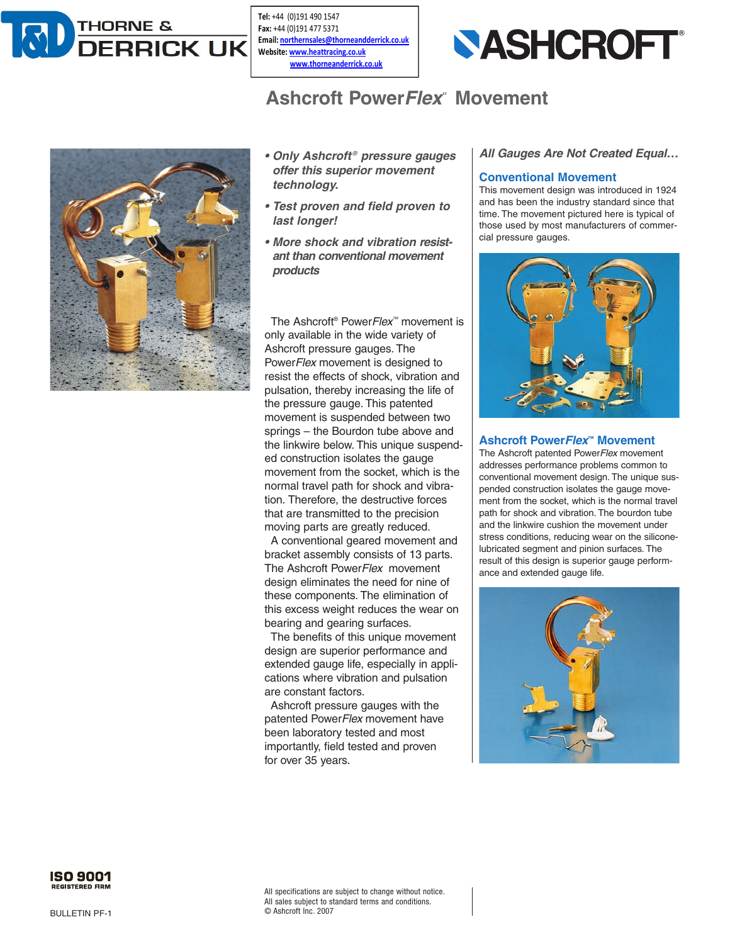

Tel: +44 (0)191 490 1547 Fax: +44 (0)191 477 5371 Email: northernsales@thorneandderrick.co.uk Website: www.heattracing.co.uk www.thorneanderrick.co.uk

# **NASHCROFT®**

## **Ashcroft Power***Flex*" **Movement**



- *Only Ashcroft ® pressure gauges offer this superior movement technology.*
- *Test proven and field proven to last longer!*
- *More shock and vibration resistant than conventional movement products.*

The Ashcroft® Power*Flex™* movement is only available in the wide variety of Ashcroft pressure gauges. The Power*Flex* movement is designed to resist the effects of shock, vibration and pulsation, thereby increasing the life of the pressure gauge. This patented movement is suspended between two springs – the Bourdon tube above and the linkwire below. This unique suspended construction isolates the gauge movement from the socket, which is the normal travel path for shock and vibration. Therefore, the destructive forces that are transmitted to the precision moving parts are greatly reduced.

A conventional geared movement and bracket assembly consists of 13 parts. The Ashcroft Power*Flex* movement design eliminates the need for nine of these components. The elimination of this excess weight reduces the wear on bearing and gearing surfaces.

The benefits of this unique movement design are superior performance and extended gauge life, especially in applications where vibration and pulsation are constant factors.

Ashcroft pressure gauges with the patented Power*Flex* movement have been laboratory tested and most importantly, field tested and proven for over 35 years.

#### *All Gauges Are Not Created Equal…*

#### **Conventional Movement**

This movement design was introduced in 1924 and has been the industry standard since that time. The movement pictured here is typical of those used by most manufacturers of commercial pressure gauges.



#### **Ashcroft Power***Flex***™ Movement**

The Ashcroft patented Power*Flex* movement addresses performance problems common to conventional movement design. The unique suspended construction isolates the gauge movement from the socket, which is the normal travel path for shock and vibration. The bourdon tube and the linkwire cushion the movement under stress conditions, reducing wear on the siliconelubricated segment and pinion surfaces. The result of this design is superior gauge performance and extended gauge life.